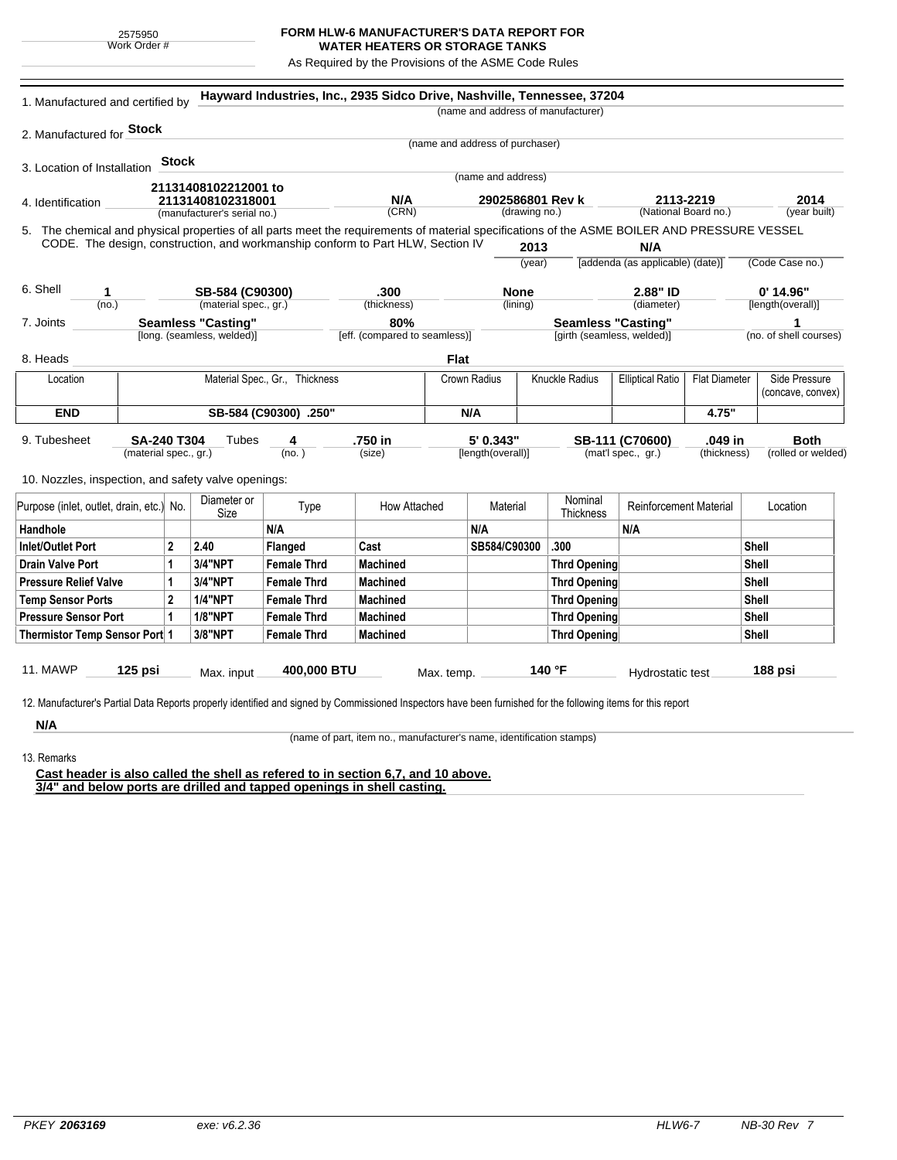## **FORM HLW-6 MANUFACTURER'S DATA REPORT FOR WATER HEATERS OR STORAGE TANKS**

As Required by the Provisions of the ASME Code Rules

| 2. Manufactured for <b>Stock</b><br>(name and address of purchaser)<br>Stock<br>3. Location of Installation<br>(name and address)<br>21131408102212001 to<br>N/A<br>2902586801 Rev k<br>2113-2219<br>2014<br>21131408102318001<br>4. Identification<br>(CRN)<br>(drawing no.)<br>(National Board no.)<br>(manufacturer's serial no.)<br>5. The chemical and physical properties of all parts meet the requirements of material specifications of the ASME BOILER AND PRESSURE VESSEL<br>CODE. The design, construction, and workmanship conform to Part HLW, Section IV<br>2013<br>N/A<br>[addenda (as applicable) (date)]<br>(Code Case no.)<br>(year)<br>6. Shell<br>.300<br>2.88" ID<br>$0'$ 14.96"<br>SB-584 (C90300)<br><b>None</b><br>1<br>(material spec., gr.)<br>(thickness)<br>[length(overall)]<br>(no.)<br>(lining)<br>(diameter)<br><b>Seamless "Casting"</b><br>80%<br><b>Seamless "Casting"</b><br>7. Joints<br>1<br>[long. (seamless, welded)]<br>[eff. (compared to seamless)]<br>[girth (seamless, welded)]<br><b>Flat</b><br>Knuckle Radius<br>Side Pressure<br>Material Spec., Gr., Thickness<br>Crown Radius<br><b>Elliptical Ratio</b><br><b>Flat Diameter</b><br>Location<br>(concave, convex)<br><b>END</b><br>N/A<br>4.75"<br>SB-584 (C90300) .250"<br>.750 in<br>5' 0.343"<br><b>SA-240 T304</b><br>Tubes<br>4<br>SB-111 (C70600)<br>.049 in<br><b>Both</b><br>(material spec., gr.)<br>(no.)<br>(size)<br>[length(overall)]<br>(mat'l spec., gr.)<br>(thickness)<br>10. Nozzles, inspection, and safety valve openings:<br>Diameter or<br>Nominal<br>Type<br>How Attached<br>Material<br><b>Reinforcement Material</b><br>Location<br>Size<br>Thickness<br>N/A<br>N/A<br>N/A<br>$\overline{2}$<br>2.40<br>Cast<br>SB584/C90300<br><b>Inlet/Outlet Port</b><br>.300<br>Shell<br><b>Flanged</b><br>3/4"NPT<br>1<br><b>Female Thrd</b><br><b>Machined</b><br><b>Thrd Opening</b><br>Shell<br>3/4"NPT<br><b>Female Thrd</b><br><b>Machined</b><br><b>Shell</b><br><b>Pressure Relief Valve</b><br>$\mathbf{1}$<br><b>Thrd Opening</b><br>$\overline{2}$<br><b>1/4"NPT</b><br><b>Female Thrd</b><br><b>Machined</b><br>Shell<br><b>Temp Sensor Ports</b><br><b>Thrd Opening</b><br><b>1/8"NPT</b><br>$\mathbf{1}$<br><b>Female Thrd</b><br><b>Machined</b><br>Shell<br>Thrd Opening<br>3/8"NPT<br>Thermistor Temp Sensor Port 1<br><b>Female Thrd</b><br><b>Machined</b><br><b>Thrd Opening</b><br>Shell<br>125 psi<br>400,000 BTU<br>140 °F<br>188 psi<br>Max. input<br>Hydrostatic test<br>Max. temp. | 1. Manufactured and certified by         |  |  |  | Hayward Industries, Inc., 2935 Sidco Drive, Nashville, Tennessee, 37204 |  |  | (name and address of manufacturer) |  |  |  |                        |  |
|-------------------------------------------------------------------------------------------------------------------------------------------------------------------------------------------------------------------------------------------------------------------------------------------------------------------------------------------------------------------------------------------------------------------------------------------------------------------------------------------------------------------------------------------------------------------------------------------------------------------------------------------------------------------------------------------------------------------------------------------------------------------------------------------------------------------------------------------------------------------------------------------------------------------------------------------------------------------------------------------------------------------------------------------------------------------------------------------------------------------------------------------------------------------------------------------------------------------------------------------------------------------------------------------------------------------------------------------------------------------------------------------------------------------------------------------------------------------------------------------------------------------------------------------------------------------------------------------------------------------------------------------------------------------------------------------------------------------------------------------------------------------------------------------------------------------------------------------------------------------------------------------------------------------------------------------------------------------------------------------------------------------------------------------------------------------------------------------------------------------------------------------------------------------------------------------------------------------------------------------------------------------------------------------------------------------------------------------------------------------------------------------------------------------------------------------------------------------------------------------------------------------------------|------------------------------------------|--|--|--|-------------------------------------------------------------------------|--|--|------------------------------------|--|--|--|------------------------|--|
|                                                                                                                                                                                                                                                                                                                                                                                                                                                                                                                                                                                                                                                                                                                                                                                                                                                                                                                                                                                                                                                                                                                                                                                                                                                                                                                                                                                                                                                                                                                                                                                                                                                                                                                                                                                                                                                                                                                                                                                                                                                                                                                                                                                                                                                                                                                                                                                                                                                                                                                               |                                          |  |  |  |                                                                         |  |  |                                    |  |  |  |                        |  |
|                                                                                                                                                                                                                                                                                                                                                                                                                                                                                                                                                                                                                                                                                                                                                                                                                                                                                                                                                                                                                                                                                                                                                                                                                                                                                                                                                                                                                                                                                                                                                                                                                                                                                                                                                                                                                                                                                                                                                                                                                                                                                                                                                                                                                                                                                                                                                                                                                                                                                                                               |                                          |  |  |  |                                                                         |  |  |                                    |  |  |  |                        |  |
|                                                                                                                                                                                                                                                                                                                                                                                                                                                                                                                                                                                                                                                                                                                                                                                                                                                                                                                                                                                                                                                                                                                                                                                                                                                                                                                                                                                                                                                                                                                                                                                                                                                                                                                                                                                                                                                                                                                                                                                                                                                                                                                                                                                                                                                                                                                                                                                                                                                                                                                               |                                          |  |  |  |                                                                         |  |  |                                    |  |  |  |                        |  |
|                                                                                                                                                                                                                                                                                                                                                                                                                                                                                                                                                                                                                                                                                                                                                                                                                                                                                                                                                                                                                                                                                                                                                                                                                                                                                                                                                                                                                                                                                                                                                                                                                                                                                                                                                                                                                                                                                                                                                                                                                                                                                                                                                                                                                                                                                                                                                                                                                                                                                                                               |                                          |  |  |  |                                                                         |  |  |                                    |  |  |  |                        |  |
|                                                                                                                                                                                                                                                                                                                                                                                                                                                                                                                                                                                                                                                                                                                                                                                                                                                                                                                                                                                                                                                                                                                                                                                                                                                                                                                                                                                                                                                                                                                                                                                                                                                                                                                                                                                                                                                                                                                                                                                                                                                                                                                                                                                                                                                                                                                                                                                                                                                                                                                               |                                          |  |  |  |                                                                         |  |  |                                    |  |  |  |                        |  |
|                                                                                                                                                                                                                                                                                                                                                                                                                                                                                                                                                                                                                                                                                                                                                                                                                                                                                                                                                                                                                                                                                                                                                                                                                                                                                                                                                                                                                                                                                                                                                                                                                                                                                                                                                                                                                                                                                                                                                                                                                                                                                                                                                                                                                                                                                                                                                                                                                                                                                                                               |                                          |  |  |  |                                                                         |  |  |                                    |  |  |  | (year built)           |  |
|                                                                                                                                                                                                                                                                                                                                                                                                                                                                                                                                                                                                                                                                                                                                                                                                                                                                                                                                                                                                                                                                                                                                                                                                                                                                                                                                                                                                                                                                                                                                                                                                                                                                                                                                                                                                                                                                                                                                                                                                                                                                                                                                                                                                                                                                                                                                                                                                                                                                                                                               |                                          |  |  |  |                                                                         |  |  |                                    |  |  |  |                        |  |
|                                                                                                                                                                                                                                                                                                                                                                                                                                                                                                                                                                                                                                                                                                                                                                                                                                                                                                                                                                                                                                                                                                                                                                                                                                                                                                                                                                                                                                                                                                                                                                                                                                                                                                                                                                                                                                                                                                                                                                                                                                                                                                                                                                                                                                                                                                                                                                                                                                                                                                                               |                                          |  |  |  |                                                                         |  |  |                                    |  |  |  |                        |  |
|                                                                                                                                                                                                                                                                                                                                                                                                                                                                                                                                                                                                                                                                                                                                                                                                                                                                                                                                                                                                                                                                                                                                                                                                                                                                                                                                                                                                                                                                                                                                                                                                                                                                                                                                                                                                                                                                                                                                                                                                                                                                                                                                                                                                                                                                                                                                                                                                                                                                                                                               |                                          |  |  |  |                                                                         |  |  |                                    |  |  |  |                        |  |
|                                                                                                                                                                                                                                                                                                                                                                                                                                                                                                                                                                                                                                                                                                                                                                                                                                                                                                                                                                                                                                                                                                                                                                                                                                                                                                                                                                                                                                                                                                                                                                                                                                                                                                                                                                                                                                                                                                                                                                                                                                                                                                                                                                                                                                                                                                                                                                                                                                                                                                                               |                                          |  |  |  |                                                                         |  |  |                                    |  |  |  |                        |  |
|                                                                                                                                                                                                                                                                                                                                                                                                                                                                                                                                                                                                                                                                                                                                                                                                                                                                                                                                                                                                                                                                                                                                                                                                                                                                                                                                                                                                                                                                                                                                                                                                                                                                                                                                                                                                                                                                                                                                                                                                                                                                                                                                                                                                                                                                                                                                                                                                                                                                                                                               |                                          |  |  |  |                                                                         |  |  |                                    |  |  |  |                        |  |
|                                                                                                                                                                                                                                                                                                                                                                                                                                                                                                                                                                                                                                                                                                                                                                                                                                                                                                                                                                                                                                                                                                                                                                                                                                                                                                                                                                                                                                                                                                                                                                                                                                                                                                                                                                                                                                                                                                                                                                                                                                                                                                                                                                                                                                                                                                                                                                                                                                                                                                                               |                                          |  |  |  |                                                                         |  |  |                                    |  |  |  |                        |  |
|                                                                                                                                                                                                                                                                                                                                                                                                                                                                                                                                                                                                                                                                                                                                                                                                                                                                                                                                                                                                                                                                                                                                                                                                                                                                                                                                                                                                                                                                                                                                                                                                                                                                                                                                                                                                                                                                                                                                                                                                                                                                                                                                                                                                                                                                                                                                                                                                                                                                                                                               |                                          |  |  |  |                                                                         |  |  |                                    |  |  |  | (no. of shell courses) |  |
|                                                                                                                                                                                                                                                                                                                                                                                                                                                                                                                                                                                                                                                                                                                                                                                                                                                                                                                                                                                                                                                                                                                                                                                                                                                                                                                                                                                                                                                                                                                                                                                                                                                                                                                                                                                                                                                                                                                                                                                                                                                                                                                                                                                                                                                                                                                                                                                                                                                                                                                               | 8. Heads                                 |  |  |  |                                                                         |  |  |                                    |  |  |  |                        |  |
|                                                                                                                                                                                                                                                                                                                                                                                                                                                                                                                                                                                                                                                                                                                                                                                                                                                                                                                                                                                                                                                                                                                                                                                                                                                                                                                                                                                                                                                                                                                                                                                                                                                                                                                                                                                                                                                                                                                                                                                                                                                                                                                                                                                                                                                                                                                                                                                                                                                                                                                               |                                          |  |  |  |                                                                         |  |  |                                    |  |  |  |                        |  |
|                                                                                                                                                                                                                                                                                                                                                                                                                                                                                                                                                                                                                                                                                                                                                                                                                                                                                                                                                                                                                                                                                                                                                                                                                                                                                                                                                                                                                                                                                                                                                                                                                                                                                                                                                                                                                                                                                                                                                                                                                                                                                                                                                                                                                                                                                                                                                                                                                                                                                                                               |                                          |  |  |  |                                                                         |  |  |                                    |  |  |  |                        |  |
|                                                                                                                                                                                                                                                                                                                                                                                                                                                                                                                                                                                                                                                                                                                                                                                                                                                                                                                                                                                                                                                                                                                                                                                                                                                                                                                                                                                                                                                                                                                                                                                                                                                                                                                                                                                                                                                                                                                                                                                                                                                                                                                                                                                                                                                                                                                                                                                                                                                                                                                               |                                          |  |  |  |                                                                         |  |  |                                    |  |  |  |                        |  |
|                                                                                                                                                                                                                                                                                                                                                                                                                                                                                                                                                                                                                                                                                                                                                                                                                                                                                                                                                                                                                                                                                                                                                                                                                                                                                                                                                                                                                                                                                                                                                                                                                                                                                                                                                                                                                                                                                                                                                                                                                                                                                                                                                                                                                                                                                                                                                                                                                                                                                                                               | 9. Tubesheet                             |  |  |  |                                                                         |  |  |                                    |  |  |  |                        |  |
|                                                                                                                                                                                                                                                                                                                                                                                                                                                                                                                                                                                                                                                                                                                                                                                                                                                                                                                                                                                                                                                                                                                                                                                                                                                                                                                                                                                                                                                                                                                                                                                                                                                                                                                                                                                                                                                                                                                                                                                                                                                                                                                                                                                                                                                                                                                                                                                                                                                                                                                               |                                          |  |  |  |                                                                         |  |  |                                    |  |  |  | (rolled or welded)     |  |
|                                                                                                                                                                                                                                                                                                                                                                                                                                                                                                                                                                                                                                                                                                                                                                                                                                                                                                                                                                                                                                                                                                                                                                                                                                                                                                                                                                                                                                                                                                                                                                                                                                                                                                                                                                                                                                                                                                                                                                                                                                                                                                                                                                                                                                                                                                                                                                                                                                                                                                                               |                                          |  |  |  |                                                                         |  |  |                                    |  |  |  |                        |  |
|                                                                                                                                                                                                                                                                                                                                                                                                                                                                                                                                                                                                                                                                                                                                                                                                                                                                                                                                                                                                                                                                                                                                                                                                                                                                                                                                                                                                                                                                                                                                                                                                                                                                                                                                                                                                                                                                                                                                                                                                                                                                                                                                                                                                                                                                                                                                                                                                                                                                                                                               |                                          |  |  |  |                                                                         |  |  |                                    |  |  |  |                        |  |
|                                                                                                                                                                                                                                                                                                                                                                                                                                                                                                                                                                                                                                                                                                                                                                                                                                                                                                                                                                                                                                                                                                                                                                                                                                                                                                                                                                                                                                                                                                                                                                                                                                                                                                                                                                                                                                                                                                                                                                                                                                                                                                                                                                                                                                                                                                                                                                                                                                                                                                                               | Purpose (inlet, outlet, drain, etc.) No. |  |  |  |                                                                         |  |  |                                    |  |  |  |                        |  |
|                                                                                                                                                                                                                                                                                                                                                                                                                                                                                                                                                                                                                                                                                                                                                                                                                                                                                                                                                                                                                                                                                                                                                                                                                                                                                                                                                                                                                                                                                                                                                                                                                                                                                                                                                                                                                                                                                                                                                                                                                                                                                                                                                                                                                                                                                                                                                                                                                                                                                                                               | Handhole                                 |  |  |  |                                                                         |  |  |                                    |  |  |  |                        |  |
|                                                                                                                                                                                                                                                                                                                                                                                                                                                                                                                                                                                                                                                                                                                                                                                                                                                                                                                                                                                                                                                                                                                                                                                                                                                                                                                                                                                                                                                                                                                                                                                                                                                                                                                                                                                                                                                                                                                                                                                                                                                                                                                                                                                                                                                                                                                                                                                                                                                                                                                               |                                          |  |  |  |                                                                         |  |  |                                    |  |  |  |                        |  |
|                                                                                                                                                                                                                                                                                                                                                                                                                                                                                                                                                                                                                                                                                                                                                                                                                                                                                                                                                                                                                                                                                                                                                                                                                                                                                                                                                                                                                                                                                                                                                                                                                                                                                                                                                                                                                                                                                                                                                                                                                                                                                                                                                                                                                                                                                                                                                                                                                                                                                                                               | <b>Drain Valve Port</b>                  |  |  |  |                                                                         |  |  |                                    |  |  |  |                        |  |
|                                                                                                                                                                                                                                                                                                                                                                                                                                                                                                                                                                                                                                                                                                                                                                                                                                                                                                                                                                                                                                                                                                                                                                                                                                                                                                                                                                                                                                                                                                                                                                                                                                                                                                                                                                                                                                                                                                                                                                                                                                                                                                                                                                                                                                                                                                                                                                                                                                                                                                                               |                                          |  |  |  |                                                                         |  |  |                                    |  |  |  |                        |  |
|                                                                                                                                                                                                                                                                                                                                                                                                                                                                                                                                                                                                                                                                                                                                                                                                                                                                                                                                                                                                                                                                                                                                                                                                                                                                                                                                                                                                                                                                                                                                                                                                                                                                                                                                                                                                                                                                                                                                                                                                                                                                                                                                                                                                                                                                                                                                                                                                                                                                                                                               |                                          |  |  |  |                                                                         |  |  |                                    |  |  |  |                        |  |
|                                                                                                                                                                                                                                                                                                                                                                                                                                                                                                                                                                                                                                                                                                                                                                                                                                                                                                                                                                                                                                                                                                                                                                                                                                                                                                                                                                                                                                                                                                                                                                                                                                                                                                                                                                                                                                                                                                                                                                                                                                                                                                                                                                                                                                                                                                                                                                                                                                                                                                                               | <b>Pressure Sensor Port</b>              |  |  |  |                                                                         |  |  |                                    |  |  |  |                        |  |
|                                                                                                                                                                                                                                                                                                                                                                                                                                                                                                                                                                                                                                                                                                                                                                                                                                                                                                                                                                                                                                                                                                                                                                                                                                                                                                                                                                                                                                                                                                                                                                                                                                                                                                                                                                                                                                                                                                                                                                                                                                                                                                                                                                                                                                                                                                                                                                                                                                                                                                                               |                                          |  |  |  |                                                                         |  |  |                                    |  |  |  |                        |  |
|                                                                                                                                                                                                                                                                                                                                                                                                                                                                                                                                                                                                                                                                                                                                                                                                                                                                                                                                                                                                                                                                                                                                                                                                                                                                                                                                                                                                                                                                                                                                                                                                                                                                                                                                                                                                                                                                                                                                                                                                                                                                                                                                                                                                                                                                                                                                                                                                                                                                                                                               |                                          |  |  |  |                                                                         |  |  |                                    |  |  |  |                        |  |
|                                                                                                                                                                                                                                                                                                                                                                                                                                                                                                                                                                                                                                                                                                                                                                                                                                                                                                                                                                                                                                                                                                                                                                                                                                                                                                                                                                                                                                                                                                                                                                                                                                                                                                                                                                                                                                                                                                                                                                                                                                                                                                                                                                                                                                                                                                                                                                                                                                                                                                                               | <b>11. MAWP</b>                          |  |  |  |                                                                         |  |  |                                    |  |  |  |                        |  |
|                                                                                                                                                                                                                                                                                                                                                                                                                                                                                                                                                                                                                                                                                                                                                                                                                                                                                                                                                                                                                                                                                                                                                                                                                                                                                                                                                                                                                                                                                                                                                                                                                                                                                                                                                                                                                                                                                                                                                                                                                                                                                                                                                                                                                                                                                                                                                                                                                                                                                                                               |                                          |  |  |  |                                                                         |  |  |                                    |  |  |  |                        |  |
|                                                                                                                                                                                                                                                                                                                                                                                                                                                                                                                                                                                                                                                                                                                                                                                                                                                                                                                                                                                                                                                                                                                                                                                                                                                                                                                                                                                                                                                                                                                                                                                                                                                                                                                                                                                                                                                                                                                                                                                                                                                                                                                                                                                                                                                                                                                                                                                                                                                                                                                               | N/A                                      |  |  |  |                                                                         |  |  |                                    |  |  |  |                        |  |

13. Remarks

(name of part, item no., manufacturer's name, identification stamps)

**Cast header is also called the shell as refered to in section 6,7, and 10 above. 3/4" and below ports are drilled and tapped openings in shell casting.**